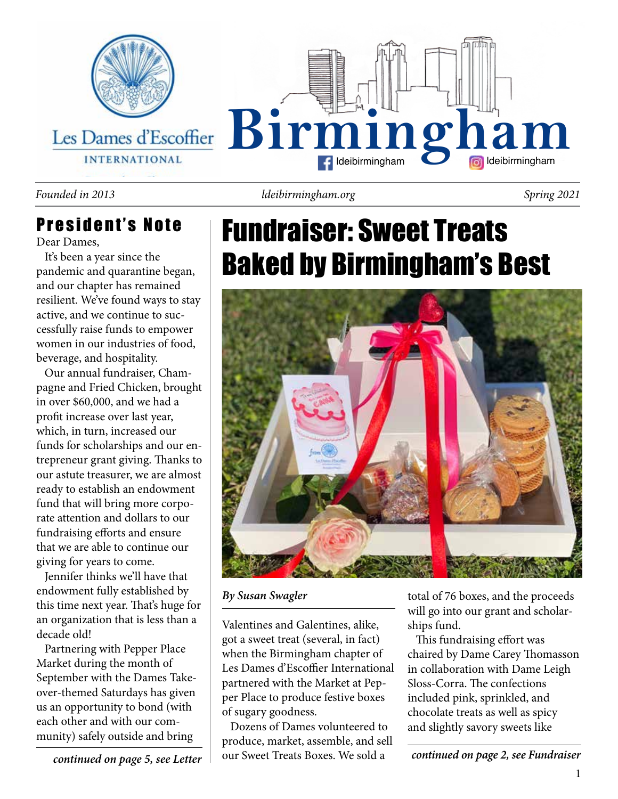

#### *ldeibirmingham.org Founded in 2013 Spring 2021*

### President's Note

Dear Dames,

 It's been a year since the pandemic and quarantine began, and our chapter has remained resilient. We've found ways to stay active, and we continue to successfully raise funds to empower women in our industries of food, beverage, and hospitality.

 Our annual fundraiser, Champagne and Fried Chicken, brought in over \$60,000, and we had a profit increase over last year, which, in turn, increased our funds for scholarships and our entrepreneur grant giving. Thanks to our astute treasurer, we are almost ready to establish an endowment fund that will bring more corporate attention and dollars to our fundraising efforts and ensure that we are able to continue our giving for years to come.

 Jennifer thinks we'll have that endowment fully established by this time next year. That's huge for an organization that is less than a decade old!

 Partnering with Pepper Place Market during the month of September with the Dames Takeover-themed Saturdays has given us an opportunity to bond (with each other and with our community) safely outside and bring

*continued on page 5, see Letter*

### Fundraiser: Sweet Treats Baked by Birmingham's Best



*By Susan Swagler* 

Valentines and Galentines, alike, got a sweet treat (several, in fact) when the Birmingham chapter of Les Dames d'Escoffier International partnered with the Market at Pepper Place to produce festive boxes of sugary goodness.

 Dozens of Dames volunteered to produce, market, assemble, and sell our Sweet Treats Boxes. We sold a

total of 76 boxes, and the proceeds will go into our grant and scholarships fund.

 This fundraising effort was chaired by Dame Carey Thomasson in collaboration with Dame Leigh Sloss-Corra. The confections included pink, sprinkled, and chocolate treats as well as spicy and slightly savory sweets like

*continued on page 2, see Fundraiser*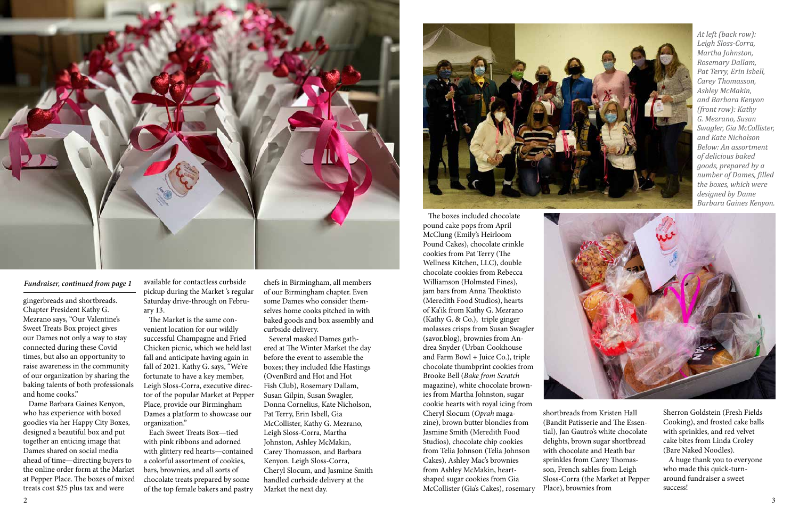gingerbreads and shortbreads. Chapter President Kathy G. Mezrano says, "Our Valentine's Sweet Treats Box project gives our Dames not only a way to stay connected during these Covid times, but also an opportunity to raise awareness in the community of our organization by sharing the baking talents of both professionals and home cooks."

 Dame Barbara Gaines Kenyon, who has experience with boxed goodies via her Happy City Boxes, designed a beautiful box and put together an enticing image that Dames shared on social media ahead of time—directing buyers to the online order form at the Market at Pepper Place. The boxes of mixed treats cost \$25 plus tax and were

available for contactless curbside pickup during the Market 's regular Saturday drive-through on February 13.

 The Market is the same convenient location for our wildly successful Champagne and Fried Chicken picnic, which we held last fall and anticipate having again in fall of 2021. Kathy G. says, "We're fortunate to have a key member, Leigh Sloss-Corra, executive director of the popular Market at Pepper Place, provide our Birmingham Dames a platform to showcase our organization."

 Each Sweet Treats Box—tied with pink ribbons and adorned with glittery red hearts—contained a colorful assortment of cookies, bars, brownies, and all sorts of chocolate treats prepared by some of the top female bakers and pastry

chefs in Birmingham, all members of our Birmingham chapter. Even some Dames who consider themselves home cooks pitched in with baked goods and box assembly and curbside delivery.

 Several masked Dames gathered at The Winter Market the day before the event to assemble the boxes; they included Idie Hastings (OvenBird and Hot and Hot Fish Club), Rosemary Dallam, Susan Gilpin, Susan Swagler, Donna Cornelius, Kate Nicholson, Pat Terry, Erin Isbell, Gia McCollister, Kathy G. Mezrano, Leigh Sloss-Corra, Martha Johnston, Ashley McMakin, Carey Thomasson, and Barbara Kenyon. Leigh Sloss-Corra, Cheryl Slocum, and Jasmine Smith handled curbside delivery at the Market the next day.



 The boxes included chocolate pound cake pops from April McClung (Emily's Heirloom Pound Cakes), chocolate crinkle cookies from Pat Terry (The Wellness Kitchen, LLC), double chocolate cookies from Rebecca Williamson (Holmsted Fines), jam bars from Anna Theoktisto (Meredith Food Studios), hearts of Ka'ik from Kathy G. Mezrano (Kathy G. & Co.), triple ginger molasses crisps from Susan Swagler (savor.blog), brownies from Andrea Snyder (Urban Cookhouse and Farm Bowl + Juice Co.), triple chocolate thumbprint cookies from Brooke Bell (*Bake from Scratch* magazine), white chocolate brownies from Martha Johnston, sugar cookie hearts with royal icing from Cheryl Slocum (*Oprah* magazine), brown butter blondies from Jasmine Smith (Meredith Food Studios), chocolate chip cookies from Telia Johnson (Telia Johnson Cakes), Ashley Mac's brownies from Ashley McMakin, heartshaped sugar cookies from Gia McCollister (Gia's Cakes), rosemary





#### *Fundraiser, continued from page 1*

*At left (back row): Leigh Sloss-Corra, Martha Johnston, Rosemary Dallam, Pat Terry, Erin Isbell, Carey Thomasson, Ashley McMakin, and Barbara Kenyon (front row): Kathy G. Mezrano, Susan Swagler, Gia McCollister, and Kate Nicholson Below: An assortment of delicious baked goods, prepared by a number of Dames, filled the boxes, which were designed by Dame Barbara Gaines Kenyon.*

shortbreads from Kristen Hall (Bandit Patisserie and The Essential), Jan Gautro's white chocolate delights, brown sugar shortbread with chocolate and Heath bar sprinkles from Carey Thomasson, French sables from Leigh Sloss-Corra (the Market at Pepper Place), brownies from

Sherron Goldstein (Fresh Fields Cooking), and frosted cake balls with sprinkles, and red velvet cake bites from Linda Croley (Bare Naked Noodles).

 A huge thank you to everyone who made this quick-turnaround fundraiser a sweet success!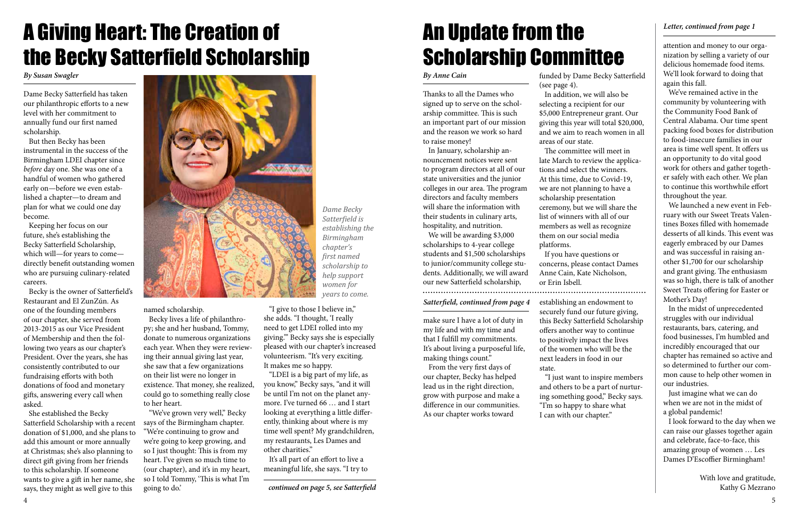#### *Letter, continued from page 1*

attention and money to our organization by selling a variety of our delicious homemade food items. We'll look forward to doing that again this fall.

 We've remained active in the community by volunteering with the Community Food Bank of Central Alabama. Our time spent packing food boxes for distribution to food-insecure families in our area is time well spent. It offers us an opportunity to do vital good work for others and gather together safely with each other. We plan to continue this worthwhile effort throughout the year.

 We launched a new event in February with our Sweet Treats Valentines Boxes filled with homemade desserts of all kinds. This event was eagerly embraced by our Dames and was successful in raising another \$1,700 for our scholarship and grant giving. The enthusiasm was so high, there is talk of another Sweet Treats offering for Easter or Mother's Day!

 In the midst of unprecedented struggles with our individual restaurants, bars, catering, and food businesses, I'm humbled and incredibly encouraged that our chapter has remained so active and so determined to further our common cause to help other women in our industries.

 Just imagine what we can do when we are not in the midst of a global pandemic!

 I look forward to the day when we can raise our glasses together again and celebrate, face-to-face, this amazing group of women … Les Dames D'Escoffier Birmingham!

> With love and gratitude, Kathy G Mezrano

### An Update from the Scholarship Committee

*By Anne Cain*

Thanks to all the Dames who signed up to serve on the scholarship committee. This is such an important part of our mission and the reason we work so hard to raise money!

 In January, scholarship announcement notices were sent to program directors at all of our state universities and the junior colleges in our area. The program directors and faculty members will share the information with their students in culinary arts, hospitality, and nutrition.

 We will be awarding \$3,000 scholarships to 4-year college students and \$1,500 scholarships to junior/community college students. Additionally, we will award our new Satterfield scholarship,

funded by Dame Becky Satterfield (see page 4).

 In addition, we will also be selecting a recipient for our \$5,000 Entrepreneur grant. Our giving this year will total \$20,000, and we aim to reach women in all areas of our state.

 The committee will meet in late March to review the applications and select the winners. At this time, due to Covid-19, we are not planning to have a scholarship presentation ceremony, but we will share the list of winners with all of our members as well as recognize them on our social media platforms.

 If you have questions or concerns, please contact Dames Anne Cain, Kate Nicholson, or Erin Isbell. 

### A Giving Heart: The Creation of the Becky Satterfield Scholarship

*By Susan Swagler*

Dame Becky Satterfield has taken our philanthropic efforts to a new level with her commitment to annually fund our first named scholarship.

 But then Becky has been instrumental in the success of the Birmingham LDEI chapter since *before* day one. She was one of a handful of women who gathered early on—before we even established a chapter—to dream and plan for what we could one day become.

 Keeping her focus on our future, she's establishing the Becky Satterfield Scholarship, which will—for years to come directly benefit outstanding women who are pursuing culinary-related careers.

 Becky is the owner of Satterfield's Restaurant and El ZunZún. As one of the founding members of our chapter, she served from 2013-2015 as our Vice President of Membership and then the following two years as our chapter's President. Over the years, she has consistently contributed to our fundraising efforts with both donations of food and monetary gifts, answering every call when asked.

 She established the Becky Satterfield Scholarship with a recent donation of \$1,000, and she plans to add this amount or more annually at Christmas; she's also planning to direct gift giving from her friends to this scholarship. If someone wants to give a gift in her name, she says, they might as well give to this



named scholarship.

 Becky lives a life of philanthropy; she and her husband, Tommy, donate to numerous organizations each year. When they were reviewing their annual giving last year, she saw that a few organizations on their list were no longer in existence. That money, she realized, could go to something really close to her heart.

 "We've grown very well," Becky says of the Birmingham chapter. "We're continuing to grow and we're going to keep growing, and so I just thought: This is from my heart. I've given so much time to (our chapter), and it's in my heart, so I told Tommy, 'This is what I'm going to do.'

 "I give to those I believe in," she adds. "I thought, 'I really need to get LDEI rolled into my giving.'" Becky says she is especially pleased with our chapter's increased volunteerism. "It's very exciting. It makes me so happy.

 "LDEI is a big part of my life, as you know," Becky says, "and it will be until I'm not on the planet anymore. I've turned 66 … and I start looking at everything a little differently, thinking about where is my time well spent? My grandchildren, my restaurants, Les Dames and other charities."

 It's all part of an effort to live a meaningful life, she says. "I try to make sure I have a lot of duty in my life and with my time and that I fulfill my commitments. It's about living a purposeful life, making things count."

 From the very first days of our chapter, Becky has helped lead us in the right direction, grow with purpose and make a difference in our communities. As our chapter works toward

establishing an endowment to securely fund our future giving, this Becky Satterfield Scholarship offers another way to continue to positively impact the lives of the women who will be the next leaders in food in our state.

 "I just want to inspire members and others to be a part of nurturing something good," Becky says. "I'm so happy to share what I can with our chapter."

#### *Satterfield, continued from page 4*

*continued on page 5, see Satterfield*

*Dame Becky Satterfield is establishing the Birmingham chapter's first named scholarship to help support women for years to come.*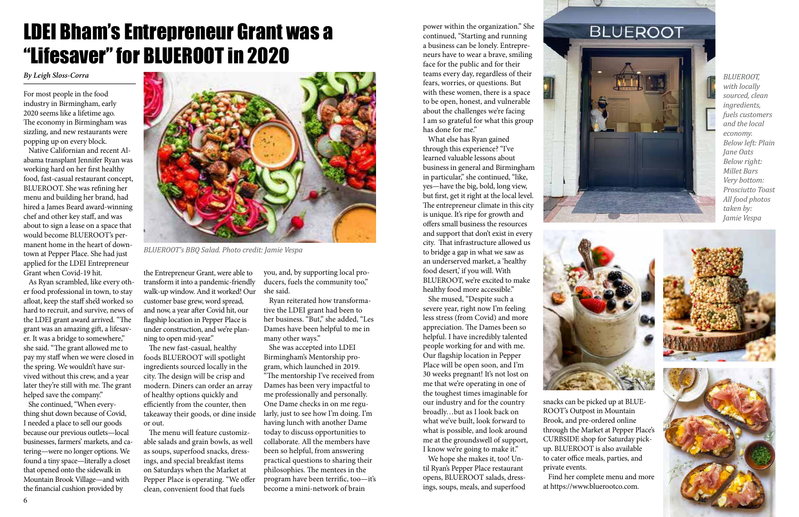### LDEI Bham's Entrepreneur Grant was a "Lifesaver" for BLUEROOT in 2020

*By Leigh Sloss-Corra*

For most people in the food industry in Birmingham, early 2020 seems like a lifetime ago. The economy in Birmingham was sizzling, and new restaurants were popping up on every block.

 Native Californian and recent Alabama transplant Jennifer Ryan was working hard on her first healthy food, fast-casual restaurant concept, BLUEROOT. She was refining her menu and building her brand, had hired a James Beard award-winning chef and other key staff, and was about to sign a lease on a space that would become BLUEROOT's permanent home in the heart of downtown at Pepper Place. She had just applied for the LDEI Entrepreneur Grant when Covid-19 hit.

 As Ryan scrambled, like every other food professional in town, to stay afloat, keep the staff she'd worked so hard to recruit, and survive, news of the LDEI grant award arrived. "The grant was an amazing gift, a lifesaver. It was a bridge to somewhere," she said. "The grant allowed me to pay my staff when we were closed in the spring. We wouldn't have survived without this crew, and a year later they're still with me. The grant helped save the company."

 She continued, "When everything shut down because of Covid, I needed a place to sell our goods because our previous outlets—local businesses, farmers' markets, and catering—were no longer options. We found a tiny space—literally a closet that opened onto the sidewalk in Mountain Brook Village—and with the financial cushion provided by

the Entrepreneur Grant, were able to transform it into a pandemic-friendly walk-up window. And it worked! Our customer base grew, word spread, and now, a year after Covid hit, our flagship location in Pepper Place is under construction, and we're planning to open mid-year."

 The new fast-casual, healthy foods BLUEROOT will spotlight ingredients sourced locally in the city. The design will be crisp and modern. Diners can order an array of healthy options quickly and efficiently from the counter, then takeaway their goods, or dine inside or out.

 The menu will feature customizable salads and grain bowls, as well as soups, superfood snacks, dressings, and special breakfast items on Saturdays when the Market at Pepper Place is operating. "We offer clean, convenient food that fuels

you, and, by supporting local producers, fuels the community too," she said.

 Ryan reiterated how transformative the LDEI grant had been to her business. "But," she added, "Les Dames have been helpful to me in many other ways."

 She was accepted into LDEI Birmingham's Mentorship program, which launched in 2019. "The mentorship I've received from Dames has been very impactful to me professionally and personally. One Dame checks in on me regularly, just to see how I'm doing. I'm having lunch with another Dame today to discuss opportunities to collaborate. All the members have been so helpful, from answering practical questions to sharing their philosophies. The mentees in the program have been terrific, too—it's become a mini-network of brain

power within the organization." She continued, "Starting and running a business can be lonely. Entrepreneurs have to wear a brave, smiling face for the public and for their teams every day, regardless of their fears, worries, or questions. But with these women, there is a space to be open, honest, and vulnerable about the challenges we're facing I am so grateful for what this group has done for me."

 What else has Ryan gained through this experience? "I've learned valuable lessons about business in general and Birmingham in particular," she continued, "like, yes—have the big, bold, long view, but first, get it right at the local level. The entrepreneur climate in this city is unique. It's ripe for growth and offers small business the resources and support that don't exist in every city. That infrastructure allowed us to bridge a gap in what we saw as an underserved market, a 'healthy food desert,' if you will. With BLUEROOT, we're excited to make healthy food more accessible."

 She mused, "Despite such a severe year, right now I'm feeling less stress (from Covid) and more appreciation. The Dames been so helpful. I have incredibly talented people working for and with me. Our flagship location in Pepper Place will be open soon, and I'm 30 weeks pregnant! It's not lost on me that we're operating in one of the toughest times imaginable for our industry and for the country broadly…but as I look back on what we've built, look forward to what is possible, and look around me at the groundswell of support, I know we're going to make it."

 We hope she makes it, too! Until Ryan's Pepper Place restaurant opens, BLUEROOT salads, dressings, soups, meals, and superfood



snacks can be picked up at BLUE-ROOT's Outpost in Mountain Brook, and pre-ordered online through the Market at Pepper Place's CURBSIDE shop for Saturday pickup. BLUEROOT is also available to cater office meals, parties, and private events.

 Find her complete menu and more at https://www.bluerootco.com.



*BLUEROOT, with locally sourced, clean ingredients, fuels customers and the local economy. Below left: Plain Jane Oats Below right: Millet Bars Very bottom: Prosciutto Toast All food photos taken by: Jamie Vespa*





*BLUEROOT's BBQ Salad. Photo credit: Jamie Vespa*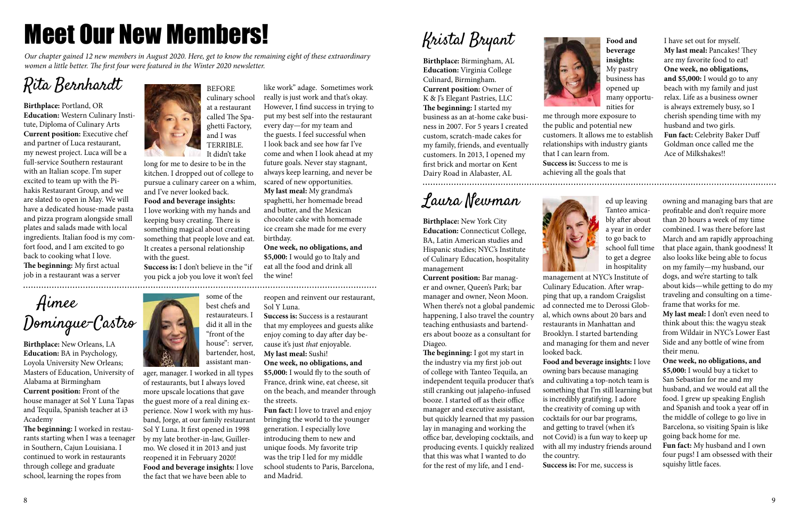# Meet Our New Members!

*Our chapter gained 12 new members in August 2020. Here, get to know the remaining eight of these extraordinary women a little better. The first four were featured in the Winter 2020 newsletter.* 

### Rita Bernhardt

**Birthplace:** Portland, OR **Education:** Western Culinary Institute, Diploma of Culinary Arts **Current position:** Executive chef and partner of Luca restaurant, my newest project. Luca will be a full-service Southern restaurant with an Italian scope. I'm super excited to team up with the Pihakis Restaurant Group, and we are slated to open in May. We will have a dedicated house-made pasta and pizza program alongside small plates and salads made with local ingredients. Italian food is my comfort food, and I am excited to go back to cooking what I love. **The beginning:** My first actual job in a restaurant was a server



like work" adage. Sometimes work really is just work and that's okay. However, I find success in trying to put my best self into the restaurant

every day—for my team and the guests. I feel successful when I look back and see how far I've come and when I look ahead at my future goals. Never stay stagnant, always keep learning, and never be

scared of new opportunities. **My last meal:** My grandma's spaghetti, her homemade bread and butter, and the Mexican chocolate cake with homemade ice cream she made for me every

birthday.

**One week, no obligations, and \$5,000:** I would go to Italy and

BEFORE culinary school at a restaurant called The Spaghetti Factory, and I was TERRIBLE. It didn't take

long for me to desire to be in the kitchen. I dropped out of college to pursue a culinary career on a whim, and I've never looked back. **Food and beverage insights:** I love working with my hands and keeping busy creating. There is something magical about creating something that people love and eat. It creates a personal relationship with the guest.

**Success is:** I don't believe in the "if you pick a job you love it won't feel

eat all the food and drink all the wine! reopen and reinvent our restaurant,



**Birthplace:** New Orleans, LA **Education:** BA in Psychology, Loyola University New Orleans; Masters of Education, University of Alabama at Birmingham **Current position:** Front of the house manager at Sol Y Luna Tapas and Tequila, Spanish teacher at i3 Academy

**The beginning:** I worked in restaurants starting when I was a teenager in Southern, Cajun Louisiana. I continued to work in restaurants through college and graduate school, learning the ropes from

Sol Y Luna. **Success is:** Success is a restaurant that my employees and guests alike enjoy coming to day after day because it's just *that* enjoyable. **My last meal:** Sushi!

**One week, no obligations, and \$5,000:** I would fly to the south of France, drink wine, eat cheese, sit on the beach, and meander through the streets.

**Fun fact:** I love to travel and enjoy bringing the world to the younger generation. I especially love introducing them to new and unique foods. My favorite trip was the trip I led for my middle school students to Paris, Barcelona, and Madrid.

ager, manager. I worked in all types of restaurants, but I always loved more upscale locations that gave the guest more of a real dining experience. Now I work with my husband, Jorge, at our family restaurant Sol Y Luna. It first opened in 1998 by my late brother-in-law, Guillermo. We closed it in 2013 and just reopened it in February 2020! **Food and beverage insights:** I love the fact that we have been able to

some of the best chefs and restaurateurs. I did it all in the "front of the house": server, bartender, host, assistant man-

Kristal Bryant

**Birthplace:** Birmingham, AL **Education:** Virginia College Culinard, Birmingham. **Current position:** Owner of K & J's Elegant Pastries, LLC **The beginning:** I started my business as an at-home cake business in 2007. For 5 years I created custom, scratch-made cakes for my family, friends, and eventually customers. In 2013, I opened my first brick and mortar on Kent Dairy Road in Alabaster, AL 

I have set out for myself. **My last meal:** Pancakes! They are my favorite food to eat! **One week, no obligations, and \$5,000:** I would go to any beach with my family and just relax. Life as a business owner is always extremely busy, so I cherish spending time with my husband and two girls. **Fun fact:** Celebrity Baker Duff Goldman once called me the Ace of Milkshakes!!

**Food and beverage insights:** My pastry business has opened up many opportunities for

me through more exposure to the public and potential new customers. It allows me to establish relationships with industry giants that I can learn from. **Success is:** Success to me is achieving all the goals that



Laura Newman

**Birthplace:** New York City **Education:** Connecticut College, BA, Latin American studies and Hispanic studies; NYC's Institute of Culinary Education, hospitality

management

**Current position:** Bar manager and owner, Queen's Park; bar manager and owner, Neon Moon. When there's not a global pandemic happening, I also travel the country teaching enthusiasts and bartenders about booze as a consultant for

Diageo.



**The beginning:** I got my start in the industry via my first job out of college with Tanteo Tequila, an independent tequila producer that's still cranking out jalapeño-infused booze. I started off as their office manager and executive assistant, but quickly learned that my passion lay in managing and working the office bar, developing cocktails, and producing events. I quickly realized that this was what I wanted to do for the rest of my life, and I end-

owning and managing bars that are profitable and don't require more than 20 hours a week of my time combined. I was there before last March and am rapidly approaching that place again, thank goodness! It also looks like being able to focus on my family—my husband, our dogs, and we're starting to talk about kids—while getting to do my traveling and consulting on a timeframe that works for me.

**My last meal:** I don't even need to think about this: the wagyu steak from Wildair in NYC's Lower East Side and any bottle of wine from their menu.

**One week, no obligations, and \$5,000:** I would buy a ticket to San Sebastian for me and my husband, and we would eat all the food. I grew up speaking English and Spanish and took a year off in the middle of college to go live in Barcelona, so visiting Spain is like going back home for me.

**Fun fact:** My husband and I own four pugs! I am obsessed with their squishy little faces.

ed up leaving Tanteo amicably after about a year in order to go back to school full time to get a degree in hospitality

management at NYC's Institute of Culinary Education. After wrapping that up, a random Craigslist ad connected me to Derossi Global, which owns about 20 bars and restaurants in Manhattan and Brooklyn. I started bartending and managing for them and never looked back.

**Food and beverage insights:** I love

owning bars because managing and cultivating a top-notch team is something that I'm still learning but is incredibly gratifying. I adore the creativity of coming up with cocktails for our bar programs, and getting to travel (when it's not Covid) is a fun way to keep up with all my industry friends around the country. **Success is:** For me, success is

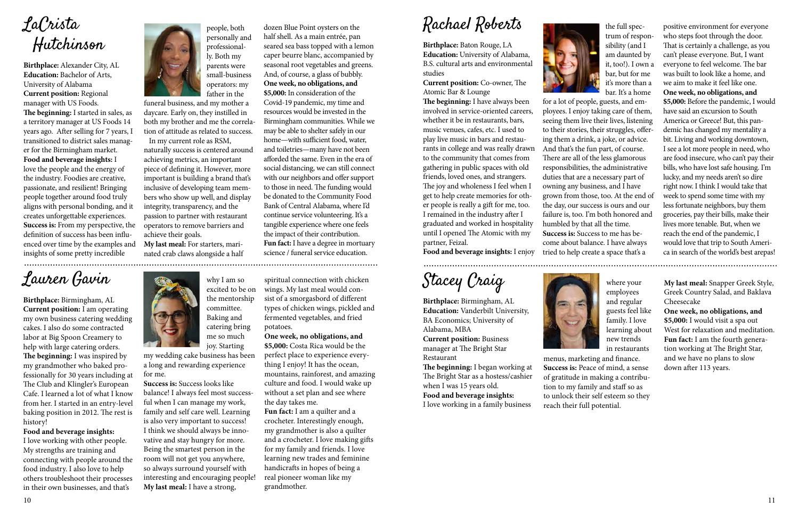

**Current position:** I am operating my own business catering wedding cakes. I also do some contracted labor at Big Spoon Creamery to help with large catering orders. **The beginning:** I was inspired by my grandmother who baked professionally for 30 years including at The Club and Klingler's European Cafe. I learned a lot of what I know from her. I started in an entry-level baking position in 2012. The rest is history!

#### **Food and beverage insights:**

I love working with other people. My strengths are training and connecting with people around the food industry. I also love to help others troubleshoot their processes in their own businesses, and that's



spiritual connection with chicken wings. My last meal would consist of a smorgasbord of different types of chicken wings, pickled and fermented vegetables, and fried potatoes.

**One week, no obligations, and \$5,000:** Costa Rica would be the perfect place to experience everything I enjoy! It has the ocean, mountains, rainforest, and amazing culture and food. I would wake up without a set plan and see where the day takes me.

**Fun fact:** I am a quilter and a crocheter. Interestingly enough, my grandmother is also a quilter and a crocheter. I love making gifts for my family and friends. I love learning new trades and feminine handicrafts in hopes of being a real pioneer woman like my grandmother.

my wedding cake business has been a long and rewarding experience for me.

**Success is:** Success looks like balance! I always feel most successful when I can manage my work, family and self care well. Learning is also very important to success! I think we should always be innovative and stay hungry for more. Being the smartest person in the room will not get you anywhere, so always surround yourself with interesting and encouraging people! **My last meal:** I have a strong,



**Birthplace:** Alexander City, AL **Education:** Bachelor of Arts, University of Alabama **Current position:** Regional manager with US Foods. **The beginning:** I started in sales, as a territory manager at US Foods 14 years ago. After selling for 7 years, I transitioned to district sales manager for the Birmingham market. **Food and beverage insights:** I love the people and the energy of the industry. Foodies are creative, passionate, and resilient! Bringing people together around food truly aligns with personal bonding, and it creates unforgettable experiences. **Success is:** From my perspective, the operators to remove barriers and definition of success has been influenced over time by the examples and insights of some pretty incredible

dozen Blue Point oysters on the half shell. As a main entrée, pan seared sea bass topped with a lemon caper beurre blanc, accompanied by seasonal root vegetables and greens. And, of course, a glass of bubbly. **One week, no obligations, and \$5,000:** In consideration of the Covid-19 pandemic, my time and resources would be invested in the Birmingham communities. While we

may be able to shelter safely in our home—with sufficient food, water, and toiletries—many have not been afforded the same. Even in the era of social distancing, we can still connect with our neighbors and offer support to those in need. The funding would be donated to the Community Food Bank of Central Alabama, where I'd continue service volunteering. It's a tangible experience where one feels the impact of their contribution. **Fun fact:** I have a degree in mortuary

science / funeral service education.

people, both personally and professionally. Both my parents were small-business operators: my father in the

funeral business, and my mother a daycare. Early on, they instilled in both my brother and me the correlation of attitude as related to success.

 In my current role as RSM, naturally success is centered around achieving metrics, an important piece of defining it. However, more important is building a brand that's inclusive of developing team members who show up well, and display integrity, transparency, and the passion to partner with restaurant achieve their goals.

**My last meal:** For starters, marinated crab claws alongside a half

> why I am so excited to be on the mentorship committee. Baking and catering bring me so much joy. Starting

Rachael Roberts

**Birthplace:** Baton Rouge, LA **Education:** University of Alabama, B.S. cultural arts and environmental studies

**Current position:** Co-owner, The Atomic Bar & Lounge

**The beginning:** I have always been involved in service-oriented careers, whether it be in restaurants, bars, music venues, cafes, etc. I used to play live music in bars and restaurants in college and was really drawn to the community that comes from gathering in public spaces with old friends, loved ones, and strangers. The joy and wholeness I feel when I get to help create memories for other people is really a gift for me, too. I remained in the industry after I graduated and worked in hospitality until I opened The Atomic with my partner, Feizal.

**Food and beverage insights:** I enjoy

positive environment for everyone who steps foot through the door. That is certainly a challenge, as you can't please everyone. But, I want everyone to feel welcome. The bar was built to look like a home, and we aim to make it feel like one. **One week, no obligations, and \$5,000:** Before the pandemic, I would have said an excursion to South America or Greece! But, this pandemic has changed my mentality a bit. Living and working downtown, I see a lot more people in need, who are food insecure, who can't pay their bills, who have lost safe housing. I'm lucky, and my needs aren't so dire right now. I think I would take that week to spend some time with my less fortunate neighbors, buy them groceries, pay their bills, make their lives more tenable. But, when we reach the end of the pandemic, I would love that trip to South America in search of the world's best arepas!

the full spectrum of responsibility (and I am daunted by it, too!). I own a bar, but for me it's more than a bar. It's a home

for a lot of people, guests, and employees. I enjoy taking care of them, seeing them live their lives, listening to their stories, their struggles, offering them a drink, a joke, or advice. And that's the fun part, of course. There are all of the less glamorous responsibilities, the administrative duties that are a necessary part of owning any business, and I have grown from those, too. At the end of the day, our success is ours and our failure is, too. I'm both honored and humbled by that all the time. **Success is:** Success to me has become about balance. I have always tried to help create a space that's a

Stacey Craig

**Birthplace:** Birmingham, AL **Education:** Vanderbilt University, BA Economics; University of Alabama, MBA **Current position:** Business manager at The Bright Star Restaurant

**The beginning:** I began working at The Bright Star as a hostess/cashier when I was 15 years old. **Food and beverage insights:** I love working in a family business



**My last meal:** Snapper Greek Style, Greek Country Salad, and Baklava Cheesecake

**One week, no obligations, and \$5,000:** I would visit a spa out West for relaxation and meditation. **Fun fact:** I am the fourth generation working at The Bright Star, and we have no plans to slow down after 113 years.

where your employees and regular guests feel like family. I love learning about new trends in restaurants

menus, marketing and finance. **Success is:** Peace of mind, a sense of gratitude in making a contribution to my family and staff so as to unlock their self esteem so they reach their full potential.

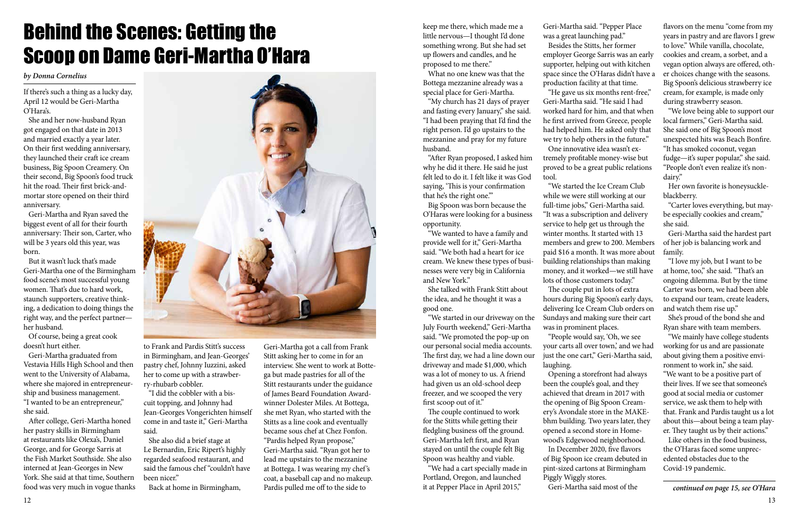### Behind the Scenes: Getting the Scoop on Dame Geri-Martha O'Hara

If there's such a thing as a lucky day, April 12 would be Geri-Martha O'Hara's.

 She and her now-husband Ryan got engaged on that date in 2013 and married exactly a year later. On their first wedding anniversary, they launched their craft ice cream business, Big Spoon Creamery. On their second, Big Spoon's food truck hit the road. Their first brick-andmortar store opened on their third anniversary.

 Geri-Martha and Ryan saved the biggest event of all for their fourth anniversary: Their son, Carter, who will be 3 years old this year, was born.

 But it wasn't luck that's made Geri-Martha one of the Birmingham food scene's most successful young women. That's due to hard work, staunch supporters, creative thinking, a dedication to doing things the right way, and the perfect partner her husband.

 Of course, being a great cook doesn't hurt either.

 Geri-Martha graduated from Vestavia Hills High School and then went to the University of Alabama, where she majored in entrepreneurship and business management. "I wanted to be an entrepreneur," she said.

 After college, Geri-Martha honed her pastry skills in Birmingham at restaurants like Olexa's, Daniel George, and for George Sarris at the Fish Market Southside. She also interned at Jean-Georges in New York. She said at that time, Southern food was very much in vogue thanks



to Frank and Pardis Stitt's success in Birmingham, and Jean-Georges' pastry chef, Johnny Iuzzini, asked her to come up with a strawberry-rhubarb cobbler.

 "I did the cobbler with a biscuit topping, and Johnny had Jean-Georges Vongerichten himself come in and taste it," Geri-Martha said.

 She also did a brief stage at Le Bernardin, Eric Ripert's highly regarded seafood restaurant, and said the famous chef "couldn't have been nicer."

Back at home in Birmingham,

Geri-Martha got a call from Frank Stitt asking her to come in for an interview. She went to work at Bottega but made pastries for all of the Stitt restaurants under the guidance of James Beard Foundation Awardwinner Dolester Miles. At Bottega, she met Ryan, who started with the Stitts as a line cook and eventually became sous chef at Chez Fonfon. "Pardis helped Ryan propose," Geri-Martha said. "Ryan got her to lead me upstairs to the mezzanine at Bottega. I was wearing my chef's coat, a baseball cap and no makeup. Pardis pulled me off to the side to

#### *by Donna Cornelius*

keep me there, which made me a little nervous—I thought I'd done something wrong. But she had set up flowers and candles, and he proposed to me there."

 What no one knew was that the Bottega mezzanine already was a special place for Geri-Martha.

 "My church has 21 days of prayer and fasting every January," she said. "I had been praying that I'd find the right person. I'd go upstairs to the mezzanine and pray for my future husband.

 "After Ryan proposed, I asked him why he did it there. He said he just felt led to do it. I felt like it was God saying, 'This is your confirmation that he's the right one.'"

 Big Spoon was born because the O'Haras were looking for a business opportunity.

 "We wanted to have a family and provide well for it," Geri-Martha said. "We both had a heart for ice cream. We knew these types of businesses were very big in California and New York."

 She talked with Frank Stitt about the idea, and he thought it was a good one.

 "We started in our driveway on the July Fourth weekend," Geri-Martha said. "We promoted the pop-up on our personal social media accounts. The first day, we had a line down our driveway and made \$1,000, which was a lot of money to us. A friend had given us an old-school deep freezer, and we scooped the very first scoop out of it."

 The couple continued to work for the Stitts while getting their fledgling business off the ground. Geri-Martha left first, and Ryan stayed on until the couple felt Big Spoon was healthy and viable.

 "We had a cart specially made in Portland, Oregon, and launched it at Pepper Place in April 2015,"

Geri-Martha said. "Pepper Place was a great launching pad." Besides the Stitts, her former employer George Sarris was an early supporter, helping out with kitchen space since the O'Haras didn't have a production facility at that time. "He gave us six months rent-free," had helped him. He asked only that we try to help others in the future." One innovative idea wasn't exproved to be a great public relations

Geri-Martha said. "He said I had worked hard for him, and that when he first arrived from Greece, people tremely profitable money-wise but

tool.

 "We started the Ice Cream Club The couple put in lots of extra

while we were still working at our full-time jobs," Geri-Martha said. "It was a subscription and delivery service to help get us through the winter months. It started with 13 members and grew to 200. Members paid \$16 a month. It was more about building relationships than making money, and it worked—we still have lots of those customers today." hours during Big Spoon's early days, delivering Ice Cream Club orders on Sundays and making sure their cart was in prominent places.

 "People would say, 'Oh, we see your carts all over town,' and we had just the one cart," Geri-Martha said, laughing.

 Opening a storefront had always been the couple's goal, and they achieved that dream in 2017 with the opening of Big Spoon Creamery's Avondale store in the MAKEbhm building. Two years later, they opened a second store in Homewood's Edgewood neighborhood. In December 2020, five flavors of Big Spoon ice cream debuted in pint-sized cartons at Birmingham Piggly Wiggly stores.

Geri-Martha said most of the

flavors on the menu "come from my years in pastry and are flavors I grew to love." While vanilla, chocolate, cookies and cream, a sorbet, and a vegan option always are offered, other choices change with the seasons. Big Spoon's delicious strawberry ice cream, for example, is made only during strawberry season.

 "We love being able to support our local farmers," Geri-Martha said. She said one of Big Spoon's most unexpected hits was Beach Bonfire. "It has smoked coconut, vegan fudge—it's super popular," she said. "People don't even realize it's nondairy."

 Her own favorite is honeysuckleblackberry.

 "Carter loves everything, but maybe especially cookies and cream," she said.

 Geri-Martha said the hardest part of her job is balancing work and family.

 "I love my job, but I want to be at home, too," she said. "That's an ongoing dilemma. But by the time Carter was born, we had been able to expand our team, create leaders, and watch them rise up."

 She's proud of the bond she and Ryan share with team members.

 "We mainly have college students working for us and are passionate about giving them a positive environment to work in," she said. "We want to be a positive part of their lives. If we see that someone's good at social media or customer service, we ask them to help with that. Frank and Pardis taught us a lot about this—about being a team player. They taught us by their actions."

 Like others in the food business, the O'Haras faced some unprecedented obstacles due to the Covid-19 pandemic.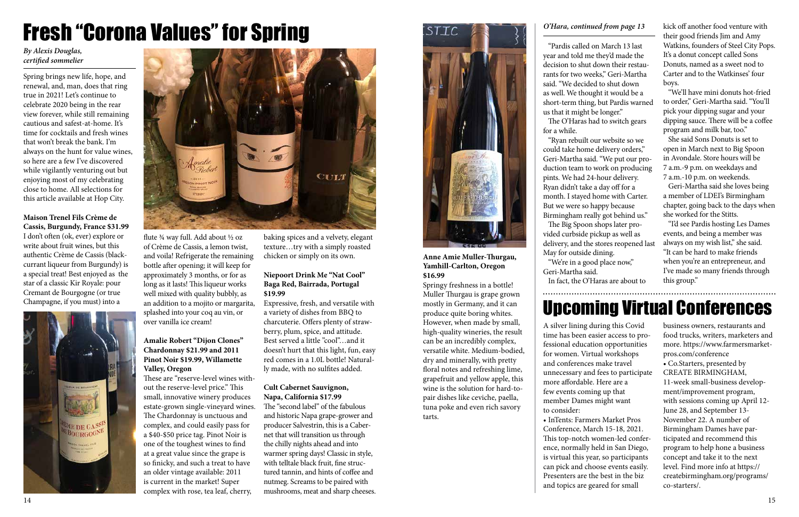Spring brings new life, hope, and renewal, and, man, does that ring true in 2021! Let's continue to celebrate 2020 being in the rear view forever, while still remaining cautious and safest-at-home. It's time for cocktails and fresh wines that won't break the bank. I'm always on the hunt for value wines, so here are a few I've discovered while vigilantly venturing out but enjoying most of my celebrating close to home. All selections for this article available at Hop City.

#### **Maison Trenel Fils Crème de Cassis, Burgundy, France \$31.99** I don't often (ok, ever) explore or write about fruit wines, but this authentic Crème de Cassis (blackcurrant liqueur from Burgundy) is a special treat! Best enjoyed as the star of a classic Kir Royale: pour Cremant de Bourgogne (or true Champagne, if you must) into a





## Fresh "Corona Values" for Spring

#### *By Alexis Douglas, certified sommelier*

flute ¾ way full. Add about ½ oz of Crème de Cassis, a lemon twist, and voila! Refrigerate the remaining bottle after opening; it will keep for approximately 3 months, or for as long as it lasts! This liqueur works well mixed with quality bubbly, as an addition to a mojito or margarita, splashed into your coq au vin, or over vanilla ice cream!

#### **Amalie Robert "Dijon Clones" Chardonnay \$21.99 and 2011 Pinot Noir \$19.99, Willamette Valley, Oregon**

These are "reserve-level wines without the reserve-level price." This small, innovative winery produces estate-grown single-vineyard wines. The Chardonnay is unctuous and complex, and could easily pass for a \$40-\$50 price tag. Pinot Noir is one of the toughest wines to find at a great value since the grape is so finicky, and such a treat to have an older vintage available: 2011 is current in the market! Super complex with rose, tea leaf, cherry,

baking spices and a velvety, elegant texture…try with a simply roasted chicken or simply on its own.

#### **Niepoort Drink Me "Nat Cool" Baga Red, Bairrada, Portugal \$19.99**

Expressive, fresh, and versatile with a variety of dishes from BBQ to charcuterie. Offers plenty of strawberry, plum, spice, and attitude. Best served a little "cool"…and it doesn't hurt that this light, fun, easy red comes in a 1.0L bottle! Naturally made, with no sulfites added.

#### **Cult Cabernet Sauvignon, Napa, California \$17.99**

The "second label" of the fabulous and historic Napa grape-grower and producer Salvestrin, this is a Cabernet that will transition us through the chilly nights ahead and into warmer spring days! Classic in style, with telltale black fruit, fine structured tannin, and hints of coffee and nutmeg. Screams to be paired with mushrooms, meat and sharp cheeses.



#### **Anne Amie Muller-Thurgau, Yamhill-Carlton, Oregon \$16.99**

Springy freshness in a bottle! Muller Thurgau is grape grown mostly in Germany, and it can produce quite boring whites. However, when made by small, high-quality wineries, the result can be an incredibly complex, versatile white. Medium-bodied, dry and minerally, with pretty floral notes and refreshing lime, grapefruit and yellow apple, this wine is the solution for hard-topair dishes like ceviche, paella, tuna poke and even rich savory tarts.

 "Pardis called on March 13 last year and told me they'd made the decision to shut down their restaurants for two weeks," Geri-Martha said. "We decided to shut down as well. We thought it would be a short-term thing, but Pardis warned us that it might be longer." The O'Haras had to switch gears

for a while.

 "Ryan rebuilt our website so we could take home delivery orders," Geri-Martha said. "We put our production team to work on producing pints. We had 24-hour delivery. Ryan didn't take a day off for a month. I stayed home with Carter. But we were so happy because Birmingham really got behind us." The Big Spoon shops later provided curbside pickup as well as delivery, and the stores reopened last "We're in a good place now,"

May for outside dining.

Geri-Martha said.

In fact, the O'Haras are about to

kick off another food venture with their good friends Jim and Amy Watkins, founders of Steel City Pops. It's a donut concept called Sons Donuts, named as a sweet nod to Carter and to the Watkinses' four boys.

 "We'll have mini donuts hot-fried to order," Geri-Martha said. "You'll pick your dipping sugar and your dipping sauce. There will be a coffee program and milk bar, too."

 She said Sons Donuts is set to open in March next to Big Spoon in Avondale. Store hours will be 7 a.m.-9 p.m. on weekdays and 7 a.m.-10 p.m. on weekends.

 Geri-Martha said she loves being a member of LDEI's Birmingham chapter, going back to the days when she worked for the Stitts.

 "I'd see Pardis hosting Les Dames events, and being a member was always on my wish list," she said. "It can be hard to make friends when you're an entrepreneur, and I've made so many friends through this group."

A silver lining during this Covid time has been easier access to professional education opportunities for women. Virtual workshops and conferences make travel unnecessary and fees to participate more affordable. Here are a few events coming up that member Dames might want to consider: • InTents: Farmers Market Pros Conference, March 15-18, 2021. This top-notch women-led conference, normally held in San Diego, is virtual this year, so participants can pick and choose events easily. Presenters are the best in the biz and topics are geared for small



#### *O'Hara, continued from page 13*

business owners, restaurants and food trucks, writers, marketers and more. https://www.farmersmarketpros.com/conference • Co.Starters, presented by CREATE BIRMINGHAM, 11-week small-business development/improvement program, with sessions coming up April 12- June 28, and September 13- November 22. A number of Birmingham Dames have participated and recommend this program to help hone a business concept and take it to the next level. Find more info at https:// createbirmingham.org/programs/

co-starters/.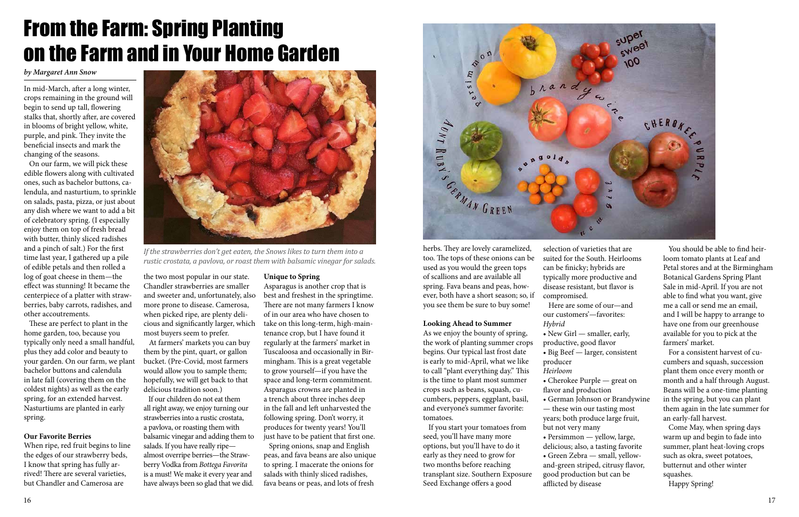### From the Farm: Spring Planting on the Farm and in Your Home Garden

In mid-March, after a long winter, crops remaining in the ground will begin to send up tall, flowering stalks that, shortly after, are covered in blooms of bright yellow, white, purple, and pink. They invite the beneficial insects and mark the changing of the seasons.

 On our farm, we will pick these edible flowers along with cultivated ones, such as bachelor buttons, calendula, and nasturtium, to sprinkle on salads, pasta, pizza, or just about any dish where we want to add a bit of celebratory spring. (I especially enjoy them on top of fresh bread with butter, thinly sliced radishes and a pinch of salt.) For the first time last year, I gathered up a pile of edible petals and then rolled a log of goat cheese in them—the effect was stunning! It became the centerpiece of a platter with strawberries, baby carrots, radishes, and other accoutrements.

 These are perfect to plant in the home garden, too, because you typically only need a small handful, plus they add color and beauty to your garden. On our farm, we plant bucket. (Pre-Covid, most farmers bachelor buttons and calendula in late fall (covering them on the coldest nights) as well as the early spring, for an extended harvest. Nasturtiums are planted in early spring.

#### **Our Favorite Berries**

When ripe, red fruit begins to line the edges of our strawberry beds, I know that spring has fully arrived! There are several varieties, but Chandler and Camerosa are

#### *by Margaret Ann Snow*

the two most popular in our state. Chandler strawberries are smaller and sweeter and, unfortunately, also more prone to disease. Camerosa, when picked ripe, are plenty delicious and significantly larger, which most buyers seem to prefer.

 At farmers' markets you can buy them by the pint, quart, or gallon would allow you to sample them; hopefully, we will get back to that delicious tradition soon.)

• New Girl — smaller, early, • Big Beef — larger, consistent

 If our children do not eat them all right away, we enjoy turning our strawberries into a rustic crostata, a pavlova, or roasting them with balsamic vinegar and adding them to salads. If you have really ripe almost overripe berries—the Strawberry Vodka from *Bottega Favorita*  is a must! We make it every year and have always been so glad that we did.

#### **Unique to Spring**

Asparagus is another crop that is best and freshest in the springtime. There are not many farmers I know of in our area who have chosen to take on this long-term, high-maintenance crop, but I have found it regularly at the farmers' market in Tuscaloosa and occasionally in Birmingham. This is a great vegetable to grow yourself—if you have the space and long-term commitment. Asparagus crowns are planted in a trench about three inches deep in the fall and left unharvested the following spring. Don't worry, it produces for twenty years! You'll just have to be patient that first one.

 Spring onions, snap and English peas, and fava beans are also unique to spring. I macerate the onions for salads with thinly sliced radishes, fava beans or peas, and lots of fresh



herbs. They are lovely caramelized, too. The tops of these onions can be used as you would the green tops of scallions and are available all spring. Fava beans and peas, however, both have a short season; so, if you see them be sure to buy some!

#### **Looking Ahead to Summer**

As we enjoy the bounty of spring, the work of planting summer crops begins. Our typical last frost date is early to mid-April, what we like to call "plant everything day." This is the time to plant most summer crops such as beans, squash, cucumbers, peppers, eggplant, basil, and everyone's summer favorite: tomatoes.

 If you start your tomatoes from seed, you'll have many more options, but you'll have to do it early as they need to grow for two months before reaching transplant size. Southern Exposure Seed Exchange offers a good

selection of varieties that are suited for the South. Heirlooms can be finicky; hybrids are typically more productive and disease resistant, but flavor is compromised.

Here are some of our—and

our customers'—favorites: *Hybrid*

- productive, good flavor producer
- *Heirloom*
- 

• Cherokee Purple — great on flavor and production • German Johnson or Brandywine — these win our tasting most years; both produce large fruit, but not very many • Persimmon — yellow, large, delicious; also, a tasting favorite • Green Zebra — small, yellowand-green striped, citrusy flavor, good production but can be afflicted by disease



*If the strawberries don't get eaten, the Snows likes to turn them into a rustic crostata, a pavlova, or roast them with balsamic vinegar for salads.*

 You should be able to find heirloom tomato plants at Leaf and Petal stores and at the Birmingham Botanical Gardens Spring Plant Sale in mid-April. If you are not able to find what you want, give me a call or send me an email, and I will be happy to arrange to have one from our greenhouse available for you to pick at the farmers' market.

 For a consistent harvest of cucumbers and squash, succession plant them once every month or month and a half through August. Beans will be a one-time planting in the spring, but you can plant them again in the late summer for an early-fall harvest.

 Come May, when spring days warm up and begin to fade into summer, plant heat-loving crops such as okra, sweet potatoes, butternut and other winter squashes. Happy Spring!